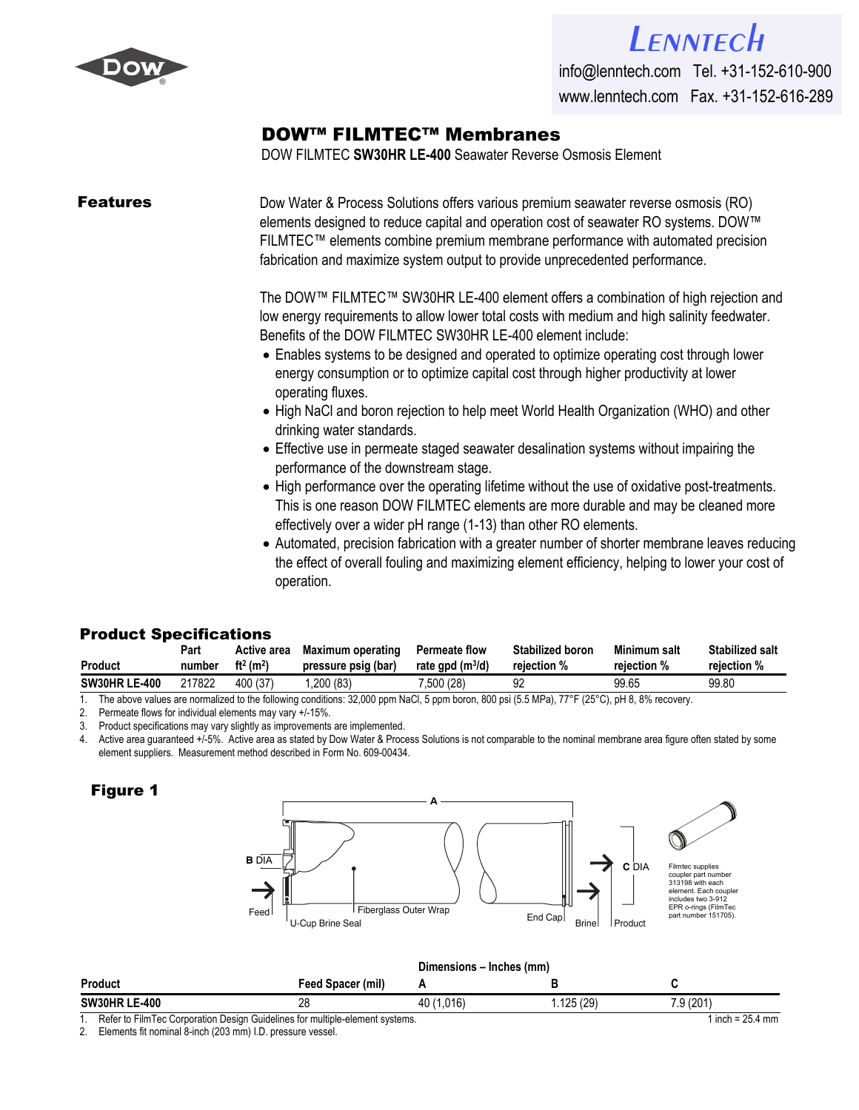

# *[Lenntech](http://www.lenntech.com/feedback/feedback_uk.htm?ref_title=Filmtec/Dow-Filmtec-SW30HRLE-400.pdf)*

info@lenntech.com Tel. +31-152-610-900 www.lenntech.com Fax. +31-152-616-289

## [DOW™ FILMTEC™ Membran](http://www.lenntech.com/feedback/feedback_uk.htm?ref_title=Filmtec/Dow-Filmtec-SW30HRLE-400.pdf)es

DOW FILMTEC **SW30HR LE-400** Seawater Reverse Osmosis Element

**Features** Dow Water & Process Solutions offers various premium seawater reverse osmosis (RO) elements designed to reduce capital and operation cost of seawater RO systems. DOW™ FILMTEC™ elements combine premium membrane performance with automated precision fabrication and maximize system output to provide unprecedented performance.

> The DOW™ FILMTEC™ SW30HR LE-400 element offers a combination of high rejection and low energy requirements to allow lower total costs with medium and high salinity feedwater. Benefits of the DOW FILMTEC SW30HR LE-400 element include:

- Enables systems to be designed and operated to optimize operating cost through lower energy consumption or to optimize capital cost through higher productivity at lower operating fluxes.
- High NaCl and boron rejection to help meet World Health Organization (WHO) and other drinking water standards.
- Effective use in permeate staged seawater desalination systems without impairing the performance of the downstream stage.
- High performance over the operating lifetime without the use of oxidative post-treatments. This is one reason DOW FILMTEC elements are more durable and may be cleaned more effectively over a wider pH range (1-13) than other RO elements.
- Automated, precision fabrication with a greater number of shorter membrane leaves reducing the effect of overall fouling and maximizing element efficiency, helping to lower your cost of operation.

### Product Specifications

| <b>Product</b>       | Part   | Active area<br>ft <sup>2</sup> (m <sup>2</sup> ) | Maximum operating   | <b>Permeate flow</b> | <b>Stabilized boron</b> | Minimum salt | <b>Stabilized salt</b> |
|----------------------|--------|--------------------------------------------------|---------------------|----------------------|-------------------------|--------------|------------------------|
|                      | number |                                                  | pressure psig (bar) | rate gpd $(m^3/d)$   | rejection %             | reiection %  | reiection %            |
| <b>SW30HR LE-400</b> | 217822 | 400 (37)                                         | .200 (83)           | (28) 500.            | 92                      | 99.65        | 99.80                  |

1. The above values are normalized to the following conditions: 32,000 ppm NaCl, 5 ppm boron, 800 psi (5.5 MPa), 77°F (25°C), pH 8, 8% recovery.

2. Permeate flows for individual elements may vary +/-15%.

3. Product specifications may vary slightly as improvements are implemented.

4. Active area guaranteed +/-5%. Active area as stated by Dow Water & Process Solutions is not comparable to the nominal membrane area figure often stated by some element suppliers. Measurement method described in Form No. 609-00434.

### **Figure 1**



| <b>Product</b>                                                               | <b>Feed Spacer (mil)</b> |            |          |           |
|------------------------------------------------------------------------------|--------------------------|------------|----------|-----------|
| <b>SW30HR LE-400</b>                                                         |                          | 40 (1.016) | .125(29) | 7.9 (201) |
| Refer to FilmTec Corporation Design Guidelines for multiple-element systems. | 1 inch = $25.4$ mm       |            |          |           |

2. Elements fit nominal 8-inch (203 mm) I.D. pressure vessel.